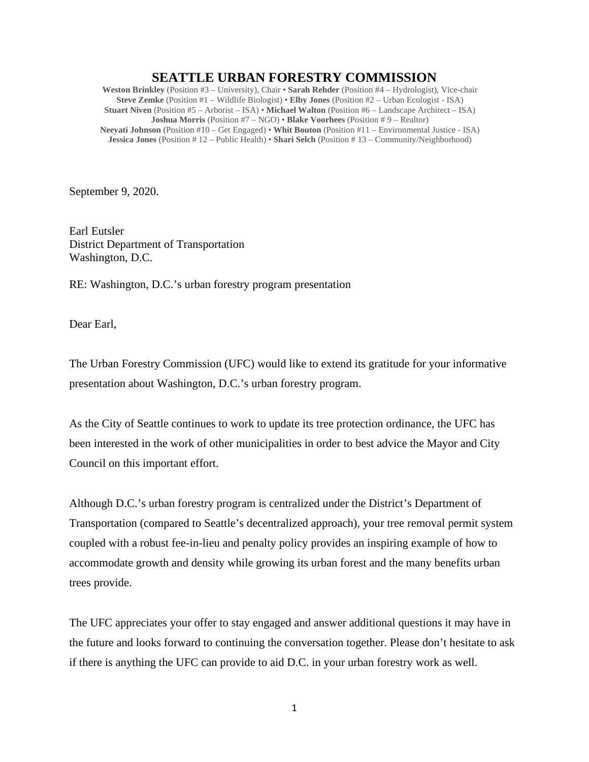## **SEATTLE URBAN FORESTRY COMMISSION**

**Weston Brinkley** (Position #3 – University), Chair • **Sarah Rehder** (Position #4 – Hydrologist), Vice-chair **Steve Zemke** (Position #1 – Wildlife Biologist) • **Elby Jones** (Position #2 – Urban Ecologist - ISA) **Stuart Niven** (Position #5 – Arborist – ISA) • **Michael Walton** (Position #6 – Landscape Architect – ISA) **Joshua Morris** (Position #7 – NGO) • **Blake Voorhees** (Position # 9 – Realtor) **Neeyati Johnson** (Position #10 – Get Engaged) • **Whit Bouton** (Position #11 – Environmental Justice - ISA) **Jessica Jones** (Position # 12 – Public Health) • **Shari Selch** (Position # 13 – Community/Neighborhood)

September 9, 2020.

Earl Eutsler District Department of Transportation Washington, D.C.

RE: Washington, D.C.'s urban forestry program presentation

Dear Earl,

The Urban Forestry Commission (UFC) would like to extend its gratitude for your informative presentation about Washington, D.C.'s urban forestry program.

As the City of Seattle continues to work to update its tree protection ordinance, the UFC has been interested in the work of other municipalities in order to best advice the Mayor and City Council on this important effort.

Although D.C.'s urban forestry program is centralized under the District's Department of Transportation (compared to Seattle's decentralized approach), your tree removal permit system coupled with a robust fee-in-lieu and penalty policy provides an inspiring example of how to accommodate growth and density while growing its urban forest and the many benefits urban trees provide.

The UFC appreciates your offer to stay engaged and answer additional questions it may have in the future and looks forward to continuing the conversation together. Please don't hesitate to ask if there is anything the UFC can provide to aid D.C. in your urban forestry work as well.

1